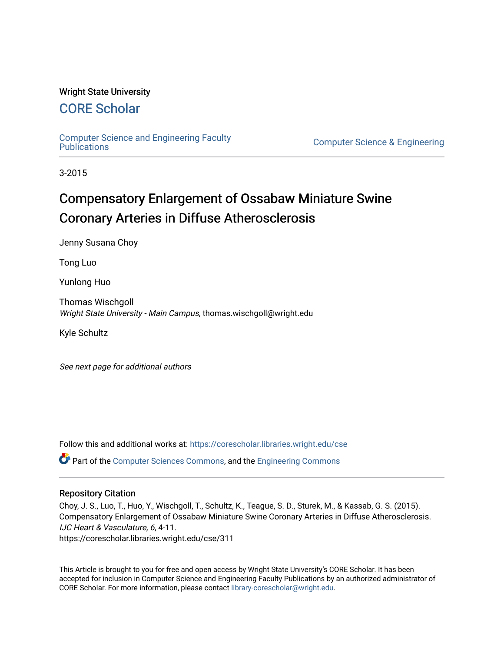## Wright State University

# [CORE Scholar](https://corescholar.libraries.wright.edu/)

[Computer Science and Engineering Faculty](https://corescholar.libraries.wright.edu/cse) 

**Computer Science & Engineering** 

3-2015

# Compensatory Enlargement of Ossabaw Miniature Swine Coronary Arteries in Diffuse Atherosclerosis

Jenny Susana Choy

Tong Luo

Yunlong Huo

Thomas Wischgoll Wright State University - Main Campus, thomas.wischgoll@wright.edu

Kyle Schultz

See next page for additional authors

Follow this and additional works at: [https://corescholar.libraries.wright.edu/cse](https://corescholar.libraries.wright.edu/cse?utm_source=corescholar.libraries.wright.edu%2Fcse%2F311&utm_medium=PDF&utm_campaign=PDFCoverPages)

Part of the [Computer Sciences Commons](http://network.bepress.com/hgg/discipline/142?utm_source=corescholar.libraries.wright.edu%2Fcse%2F311&utm_medium=PDF&utm_campaign=PDFCoverPages), and the [Engineering Commons](http://network.bepress.com/hgg/discipline/217?utm_source=corescholar.libraries.wright.edu%2Fcse%2F311&utm_medium=PDF&utm_campaign=PDFCoverPages)

### Repository Citation

Choy, J. S., Luo, T., Huo, Y., Wischgoll, T., Schultz, K., Teague, S. D., Sturek, M., & Kassab, G. S. (2015). Compensatory Enlargement of Ossabaw Miniature Swine Coronary Arteries in Diffuse Atherosclerosis. IJC Heart & Vasculature, 6, 4-11. https://corescholar.libraries.wright.edu/cse/311

This Article is brought to you for free and open access by Wright State University's CORE Scholar. It has been accepted for inclusion in Computer Science and Engineering Faculty Publications by an authorized administrator of CORE Scholar. For more information, please contact [library-corescholar@wright.edu](mailto:library-corescholar@wright.edu).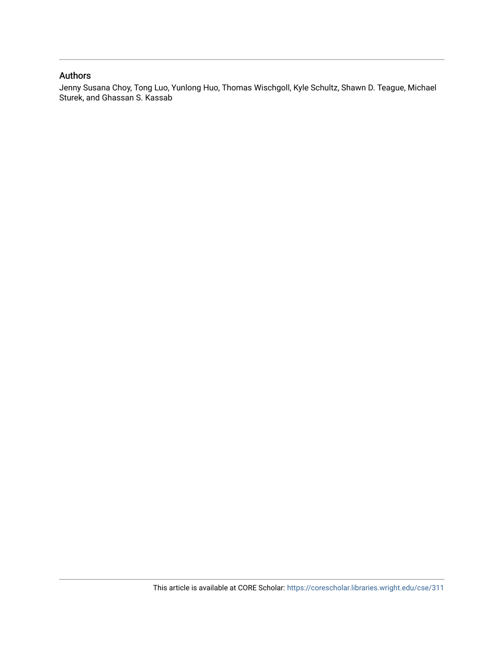## Authors

Jenny Susana Choy, Tong Luo, Yunlong Huo, Thomas Wischgoll, Kyle Schultz, Shawn D. Teague, Michael Sturek, and Ghassan S. Kassab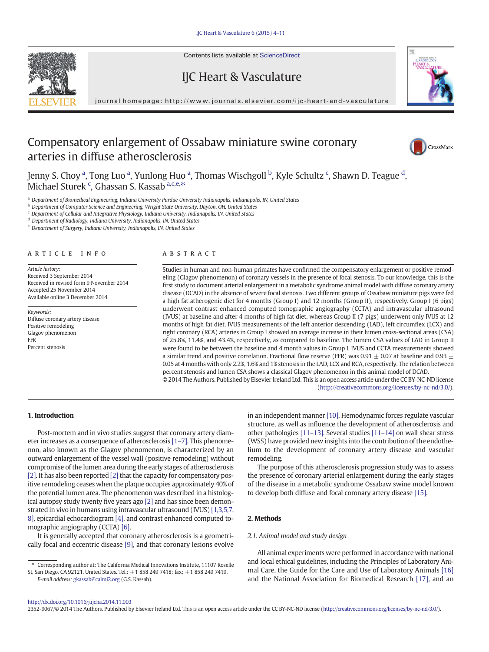Contents lists available at ScienceDirect

# IJC Heart & Vasculature



journal homepage: http://www.journals.elsevier.com/ijc-heart-and-vasculature

# Compensatory enlargement of Ossabaw miniature swine coronary arteries in diffuse atherosclerosis



Jenny S. Choy <sup>a</sup>, Tong Luo <sup>a</sup>, Yunlong Huo <sup>a</sup>, Thomas Wischgoll <sup>b</sup>, Kyle Schultz <sup>c</sup>, Shawn D. Teague <sup>d</sup>, Michael Sturek<sup>c</sup>, Ghassan S. Kassab a,c,e,\*

a Department of Biomedical Engineering, Indiana University Purdue University Indianapolis, Indianapolis, IN, United States

b Department of Computer Science and Engineering, Wright State University, Dayton, OH, United States

 $c$  Department of Cellular and Integrative Physiology, Indiana University, Indianapolis, IN, United States

<sup>d</sup> Department of Radiology, Indiana University, Indianapolis, IN, United States

<sup>e</sup> Department of Surgery, Indiana University, Indianapolis, IN, United States

#### article info abstract

Article history: Received 3 September 2014 Received in revised form 9 November 2014 Accepted 25 November 2014 Available online 3 December 2014

Keywords: Diffuse coronary artery disease Positive remodeling Glagov phenomenon FFR Percent stenosis

Studies in human and non-human primates have confirmed the compensatory enlargement or positive remodeling (Glagov phenomenon) of coronary vessels in the presence of focal stenosis. To our knowledge, this is the first study to document arterial enlargement in a metabolic syndrome animal model with diffuse coronary artery disease (DCAD) in the absence of severe focal stenosis. Two different groups of Ossabaw miniature pigs were fed a high fat atherogenic diet for 4 months (Group I) and 12 months (Group II), respectively. Group I (6 pigs) underwent contrast enhanced computed tomographic angiography (CCTA) and intravascular ultrasound (IVUS) at baseline and after 4 months of high fat diet, whereas Group II (7 pigs) underwent only IVUS at 12 months of high fat diet. IVUS measurements of the left anterior descending (LAD), left circumflex (LCX) and right coronary (RCA) arteries in Group I showed an average increase in their lumen cross-sectional areas (CSA) of 25.8%, 11.4%, and 43.4%, respectively, as compared to baseline. The lumen CSA values of LAD in Group II were found to be between the baseline and 4 month values in Group I. IVUS and CCTA measurements showed a similar trend and positive correlation. Fractional flow reserve (FFR) was 0.91  $\pm$  0.07 at baseline and 0.93  $\pm$ 0.05 at 4 months with only 2.2%, 1.6% and 1% stenosis in the LAD, LCX and RCA, respectively. The relation between percent stenosis and lumen CSA shows a classical Glagov phenomenon in this animal model of DCAD. © 2014 The Authors. Published by Elsevier Ireland Ltd. This is an open access article under the CC BY-NC-ND license

(http://creativecommons.org/licenses/by-nc-nd/3.0/).

#### 1. Introduction

Post-mortem and in vivo studies suggest that coronary artery diameter increases as a consequence of atherosclerosis [1–7]. This phenomenon, also known as the Glagov phenomenon, is characterized by an outward enlargement of the vessel wall (positive remodeling) without compromise of the lumen area during the early stages of atherosclerosis [2]. It has also been reported [2] that the capacity for compensatory positive remodeling ceases when the plaque occupies approximately 40% of the potential lumen area. The phenomenon was described in a histological autopsy study twenty five years ago [2] and has since been demonstrated in vivo in humans using intravascular ultrasound (IVUS) [1,3,5,7, 8], epicardial echocardiogram [4], and contrast enhanced computed tomographic angiography (CCTA) [6].

It is generally accepted that coronary atherosclerosis is a geometrically focal and eccentric disease [9], and that coronary lesions evolve in an independent manner [10]. Hemodynamic forces regulate vascular structure, as well as influence the development of atherosclerosis and other pathologies [11–13]. Several studies [11–14] on wall shear stress (WSS) have provided new insights into the contribution of the endothelium to the development of coronary artery disease and vascular remodeling.

The purpose of this atherosclerosis progression study was to assess the presence of coronary arterial enlargement during the early stages of the disease in a metabolic syndrome Ossabaw swine model known to develop both diffuse and focal coronary artery disease [15].

#### 2. Methods

#### 2.1. Animal model and study design

All animal experiments were performed in accordance with national and local ethical guidelines, including the Principles of Laboratory Animal Care, the Guide for the Care and Use of Laboratory Animals [16] and the National Association for Biomedical Research [17], and an

<sup>⁎</sup> Corresponding author at: The California Medical Innovations Institute, 11107 Roselle St, San Diego, CA 92121, United States. Tel.: +1 858 249 7418; fax: +1 858 249 7419. E-mail address: gkassab@calmi2.org (G.S. Kassab).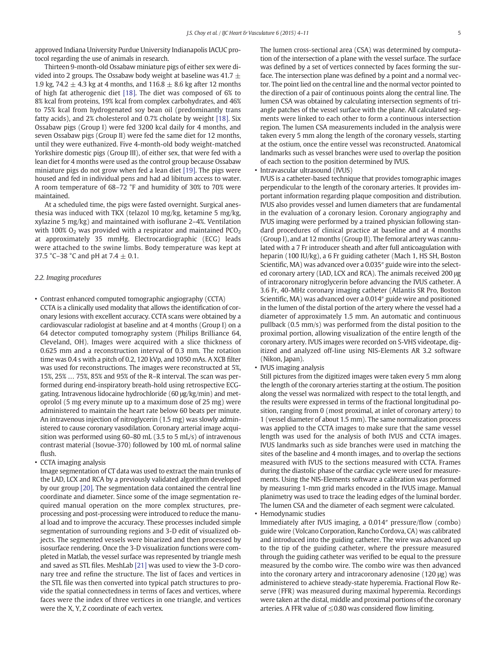approved Indiana University Purdue University Indianapolis IACUC protocol regarding the use of animals in research.

Thirteen 9-month-old Ossabaw miniature pigs of either sex were divided into 2 groups. The Ossabaw body weight at baseline was 41.7  $\pm$ 1.9 kg, 74.2  $\pm$  4.3 kg at 4 months, and 116.8  $\pm$  8.6 kg after 12 months of high fat atherogenic diet [18]. The diet was composed of 6% to 8% kcal from proteins, 19% kcal from complex carbohydrates, and 46% to 75% kcal from hydrogenated soy bean oil (predominantly trans fatty acids), and 2% cholesterol and 0.7% cholate by weight [18]. Six Ossabaw pigs (Group I) were fed 3200 kcal daily for 4 months, and seven Ossabaw pigs (Group II) were fed the same diet for 12 months, until they were euthanized. Five 4-month-old body weight-matched Yorkshire domestic pigs (Group III), of either sex, that were fed with a lean diet for 4 months were used as the control group because Ossabaw miniature pigs do not grow when fed a lean diet [19]. The pigs were housed and fed in individual pens and had ad libitum access to water. A room temperature of 68–72 °F and humidity of 30% to 70% were maintained.

At a scheduled time, the pigs were fasted overnight. Surgical anesthesia was induced with TKX (telazol 10 mg/kg, ketamine 5 mg/kg, xylazine 5 mg/kg) and maintained with isoflurane 2–4%. Ventilation with 100%  $O<sub>2</sub>$  was provided with a respirator and maintained PCO<sub>2</sub> at approximately 35 mmHg. Electrocardiographic (ECG) leads were attached to the swine limbs. Body temperature was kept at 37.5 °C–38 °C and pH at 7.4  $\pm$  0.1.

#### 2.2. Imaging procedures

- Contrast enhanced computed tomographic angiography (CCTA) CCTA is a clinically used modality that allows the identification of coronary lesions with excellent accuracy. CCTA scans were obtained by a cardiovascular radiologist at baseline and at 4 months (Group I) on a 64 detector computed tomography system (Philips Brilliance 64, Cleveland, OH). Images were acquired with a slice thickness of 0.625 mm and a reconstruction interval of 0.3 mm. The rotation time was 0.4 s with a pitch of 0.2, 120 kVp, and 1050 mAs. A XCB filter was used for reconstructions. The images were reconstructed at 5%, 15%, 25% … 75%, 85% and 95% of the R–R interval. The scan was performed during end-inspiratory breath-hold using retrospective ECGgating. Intravenous lidocaine hydrochloride (60 μg/kg/min) and metoprolol (5 mg every minute up to a maximum dose of 25 mg) were administered to maintain the heart rate below 60 beats per minute. An intravenous injection of nitroglycerin (1.5 mg) was slowly administered to cause coronary vasodilation. Coronary arterial image acquisition was performed using 60–80 mL (3.5 to 5 mL/s) of intravenous contrast material (Isovue-370) followed by 100 mL of normal saline flush.
- CCTA imaging analysis

Image segmentation of CT data was used to extract the main trunks of the LAD, LCX and RCA by a previously validated algorithm developed by our group [20]. The segmentation data contained the central line coordinate and diameter. Since some of the image segmentation required manual operation on the more complex structures, preprocessing and post-processing were introduced to reduce the manual load and to improve the accuracy. These processes included simple segmentation of surrounding regions and 3-D edit of visualized objects. The segmented vessels were binarized and then processed by isosurface rendering. Once the 3-D visualization functions were completed in Matlab, the vessel surface was represented by triangle mesh and saved as STL files. MeshLab [21] was used to view the 3-D coronary tree and refine the structure. The list of faces and vertices in the STL file was then converted into typical patch structures to provide the spatial connectedness in terms of faces and vertices, where faces were the index of three vertices in one triangle, and vertices were the X, Y, Z coordinate of each vertex.

The lumen cross-sectional area (CSA) was determined by computation of the intersection of a plane with the vessel surface. The surface was defined by a set of vertices connected by faces forming the surface. The intersection plane was defined by a point and a normal vector. The point lied on the central line and the normal vector pointed to the direction of a pair of continuous points along the central line. The lumen CSA was obtained by calculating intersection segments of triangle patches of the vessel surface with the plane. All calculated segments were linked to each other to form a continuous intersection region. The lumen CSA measurements included in the analysis were taken every 5 mm along the length of the coronary vessels, starting at the ostium, once the entire vessel was reconstructed. Anatomical landmarks such as vessel branches were used to overlap the position of each section to the position determined by IVUS.

• Intravascular ultrasound (IVUS)

IVUS is a catheter-based technique that provides tomographic images perpendicular to the length of the coronary arteries. It provides important information regarding plaque composition and distribution. IVUS also provides vessel and lumen diameters that are fundamental in the evaluation of a coronary lesion. Coronary angiography and IVUS imaging were performed by a trained physician following standard procedures of clinical practice at baseline and at 4 months (Group I), and at 12 months (Group II). The femoral artery was cannulated with a 7 Fr introducer sheath and after full anticoagulation with heparin (100 IU/kg), a 6 Fr guiding catheter (Mach 1, HS SH, Boston Scientific, MA) was advanced over a 0.035″ guide wire into the selected coronary artery (LAD, LCX and RCA). The animals received 200 μg of intracoronary nitroglycerin before advancing the IVUS catheter. A 3.6 Fr, 40-MHz coronary imaging catheter (Atlantis SR Pro, Boston Scientific, MA) was advanced over a 0.014″ guide wire and positioned in the lumen of the distal portion of the artery where the vessel had a diameter of approximately 1.5 mm. An automatic and continuous pullback (0.5 mm/s) was performed from the distal position to the proximal portion, allowing visualization of the entire length of the coronary artery. IVUS images were recorded on S-VHS videotape, digitized and analyzed off-line using NIS-Elements AR 3.2 software (Nikon, Japan).

• IVUS imaging analysis

Still pictures from the digitized images were taken every 5 mm along the length of the coronary arteries starting at the ostium. The position along the vessel was normalized with respect to the total length, and the results were expressed in terms of the fractional longitudinal position, ranging from 0 (most proximal, at inlet of coronary artery) to 1 (vessel diameter of about 1.5 mm). The same normalization process was applied to the CCTA images to make sure that the same vessel length was used for the analysis of both IVUS and CCTA images. IVUS landmarks such as side branches were used in matching the sites of the baseline and 4 month images, and to overlap the sections measured with IVUS to the sections measured with CCTA. Frames during the diastolic phase of the cardiac cycle were used for measurements. Using the NIS-Elements software a calibration was performed by measuring 1-mm grid marks encoded in the IVUS image. Manual planimetry was used to trace the leading edges of the luminal border. The lumen CSA and the diameter of each segment were calculated.

• Hemodynamic studies

Immediately after IVUS imaging, a 0.014″ pressure/flow (combo) guide wire (Volcano Corporation, Rancho Cordova, CA) was calibrated and introduced into the guiding catheter. The wire was advanced up to the tip of the guiding catheter, where the pressure measured through the guiding catheter was verified to be equal to the pressure measured by the combo wire. The combo wire was then advanced into the coronary artery and intracoronary adenosine (120 μg) was administered to achieve steady-state hyperemia. Fractional Flow Reserve (FFR) was measured during maximal hyperemia. Recordings were taken at the distal, middle and proximal portions of the coronary arteries. A FFR value of  $\leq$  0.80 was considered flow limiting.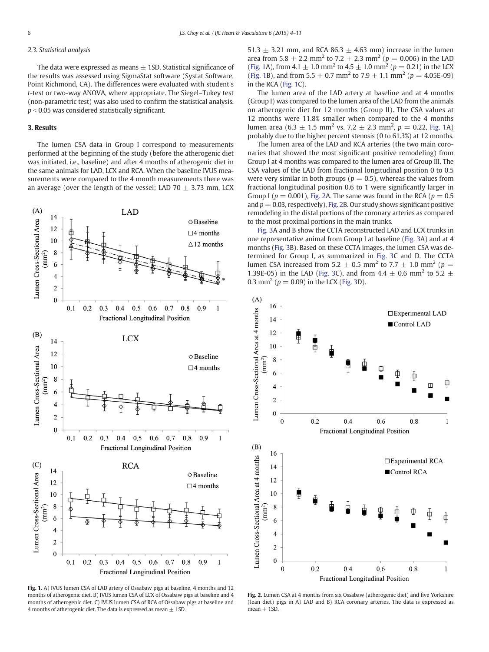#### 2.3. Statistical analysis

The data were expressed as means  $\pm$  1SD. Statistical significance of the results was assessed using SigmaStat software (Systat Software, Point Richmond, CA). The differences were evaluated with student's t-test or two-way ANOVA, where appropriate. The Siegel–Tukey test (non-parametric test) was also used to confirm the statistical analysis.  $p < 0.05$  was considered statistically significant.

#### 3. Results

The lumen CSA data in Group I correspond to measurements performed at the beginning of the study (before the atherogenic diet was initiated, i.e., baseline) and after 4 months of atherogenic diet in the same animals for LAD, LCX and RCA. When the baseline IVUS measurements were compared to the 4 month measurements there was an average (over the length of the vessel; LAD 70  $\pm$  3.73 mm, LCX



Fig. 1. A) IVUS lumen CSA of LAD artery of Ossabaw pigs at baseline, 4 months and 12 months of atherogenic diet. B) IVUS lumen CSA of LCX of Ossabaw pigs at baseline and 4 months of atherogenic diet. C) IVUS lumen CSA of RCA of Ossabaw pigs at baseline and 4 months of atherogenic diet. The data is expressed as mean  $\pm$  1SD.

51.3  $\pm$  3.21 mm, and RCA 86.3  $\pm$  4.63 mm) increase in the lumen area from 5.8  $\pm$  2.2 mm<sup>2</sup> to 7.2  $\pm$  2.3 mm<sup>2</sup> (p = 0.006) in the LAD (Fig. 1A), from 4.1  $\pm$  1.0 mm<sup>2</sup> to 4.5  $\pm$  1.0 mm<sup>2</sup> (p = 0.21) in the LCX (Fig. 1B), and from 5.5  $\pm$  0.7 mm<sup>2</sup> to 7.9  $\pm$  1.1 mm<sup>2</sup> (p = 4.05E-09) in the RCA (Fig. 1C).

The lumen area of the LAD artery at baseline and at 4 months (Group I) was compared to the lumen area of the LAD from the animals on atherogenic diet for 12 months (Group II). The CSA values at 12 months were 11.8% smaller when compared to the 4 months lumen area (6.3  $\pm$  1.5 mm<sup>2</sup> vs. 7.2  $\pm$  2.3 mm<sup>2</sup>, p = 0.22, Fig. 1A) probably due to the higher percent stenosis (0 to 61.3%) at 12 months.

The lumen area of the LAD and RCA arteries (the two main coronaries that showed the most significant positive remodeling) from Group I at 4 months was compared to the lumen area of Group III. The CSA values of the LAD from fractional longitudinal position 0 to 0.5 were very similar in both groups ( $p = 0.5$ ), whereas the values from fractional longitudinal position 0.6 to 1 were significantly larger in Group I ( $p = 0.001$ ), Fig. 2A. The same was found in the RCA ( $p = 0.5$ ) and  $p = 0.03$ , respectively), Fig. 2B. Our study shows significant positive remodeling in the distal portions of the coronary arteries as compared to the most proximal portions in the main trunks.

Fig. 3A and B show the CCTA reconstructed LAD and LCX trunks in one representative animal from Group I at baseline (Fig. 3A) and at 4 months (Fig. 3B). Based on these CCTA images, the lumen CSA was determined for Group I, as summarized in Fig. 3C and D. The CCTA lumen CSA increased from 5.2  $\pm$  0.5 mm<sup>2</sup> to 7.7  $\pm$  1.0 mm<sup>2</sup> (p = 1.39E-05) in the LAD (Fig. 3C), and from 4.4  $\pm$  0.6 mm<sup>2</sup> to 5.2  $\pm$ 0.3 mm<sup>2</sup> ( $p = 0.09$ ) in the LCX (Fig. 3D).



Fig. 2. Lumen CSA at 4 months from six Ossabaw (atherogenic diet) and five Yorkshire (lean diet) pigs in A) LAD and B) RCA coronary arteries. The data is expressed as  $mean + 1SD$ .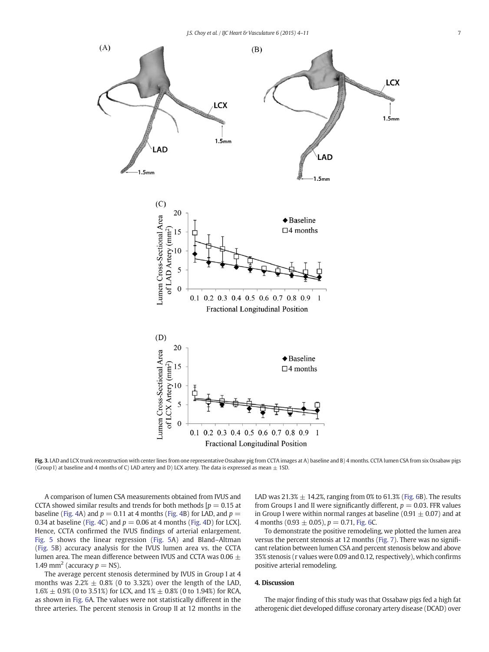

Fig. 3. LAD and LCX trunk reconstruction with center lines from one representative Ossabaw pig from CCTA images at A) baseline and B) 4 months. CCTA lumen CSA from six Ossabaw pigs (Group I) at baseline and 4 months of C) LAD artery and D) LCX artery. The data is expressed as mean  $\pm$  1SD.

A comparison of lumen CSA measurements obtained from IVUS and CCTA showed similar results and trends for both methods  $[p = 0.15$  at baseline (Fig. 4A) and  $p = 0.11$  at 4 months (Fig. 4B) for LAD, and  $p =$ 0.34 at baseline (Fig. 4C) and  $p = 0.06$  at 4 months (Fig. 4D) for LCX]. Hence, CCTA confirmed the IVUS findings of arterial enlargement. Fig. 5 shows the linear regression (Fig. 5A) and Bland–Altman (Fig. 5B) accuracy analysis for the IVUS lumen area vs. the CCTA lumen area. The mean difference between IVUS and CCTA was 0.06  $\pm$ 1.49 mm<sup>2</sup> (accuracy  $p = NS$ ).

The average percent stenosis determined by IVUS in Group I at 4 months was  $2.2\% \pm 0.8\%$  (0 to 3.32%) over the length of the LAD,  $1.6\% \pm 0.9\%$  (0 to 3.51%) for LCX, and  $1\% \pm 0.8\%$  (0 to 1.94%) for RCA, as shown in Fig. 6A. The values were not statistically different in the three arteries. The percent stenosis in Group II at 12 months in the LAD was  $21.3\% \pm 14.2\%$ , ranging from 0% to 61.3% (Fig. 6B). The results from Groups I and II were significantly different,  $p = 0.03$ . FFR values in Group I were within normal ranges at baseline (0.91  $\pm$  0.07) and at 4 months (0.93  $\pm$  0.05),  $p = 0.71$ , Fig. 6C.

To demonstrate the positive remodeling, we plotted the lumen area versus the percent stenosis at 12 months (Fig. 7). There was no significant relation between lumen CSA and percent stenosis below and above 35% stenosis (r values were 0.09 and 0.12, respectively), which confirms positive arterial remodeling.

#### 4. Discussion

The major finding of this study was that Ossabaw pigs fed a high fat atherogenic diet developed diffuse coronary artery disease (DCAD) over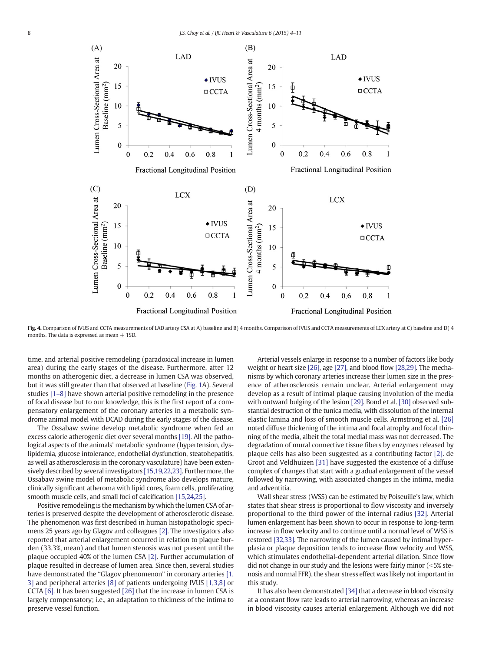

Fig. 4. Comparison of IVUS and CCTA measurements of LAD artery CSA at A) baseline and B) 4 months. Comparison of IVUS and CCTA measurements of LCX artery at C) baseline and D) 4 months. The data is expressed as mean  $\pm$  1SD.

time, and arterial positive remodeling (paradoxical increase in lumen area) during the early stages of the disease. Furthermore, after 12 months on atherogenic diet, a decrease in lumen CSA was observed, but it was still greater than that observed at baseline (Fig. 1A). Several studies [1–8] have shown arterial positive remodeling in the presence of focal disease but to our knowledge, this is the first report of a compensatory enlargement of the coronary arteries in a metabolic syndrome animal model with DCAD during the early stages of the disease.

The Ossabaw swine develop metabolic syndrome when fed an excess calorie atherogenic diet over several months [19]. All the pathological aspects of the animals' metabolic syndrome (hypertension, dyslipidemia, glucose intolerance, endothelial dysfunction, steatohepatitis, as well as atherosclerosis in the coronary vasculature) have been extensively described by several investigators [15,19,22,23]. Furthermore, the Ossabaw swine model of metabolic syndrome also develops mature, clinically significant atheroma with lipid cores, foam cells, proliferating smooth muscle cells, and small foci of calcification [15,24,25].

Positive remodeling is the mechanism by which the lumen CSA of arteries is preserved despite the development of atherosclerotic disease. The phenomenon was first described in human histopathologic specimens 25 years ago by Glagov and colleagues [2]. The investigators also reported that arterial enlargement occurred in relation to plaque burden (33.3%, mean) and that lumen stenosis was not present until the plaque occupied 40% of the lumen CSA [2]. Further accumulation of plaque resulted in decrease of lumen area. Since then, several studies have demonstrated the "Glagov phenomenon" in coronary arteries [1, 3] and peripheral arteries [8] of patients undergoing IVUS [1,3,8] or CCTA [6]. It has been suggested [26] that the increase in lumen CSA is largely compensatory; i.e., an adaptation to thickness of the intima to preserve vessel function.

Arterial vessels enlarge in response to a number of factors like body weight or heart size [26], age [27], and blood flow [28,29]. The mechanisms by which coronary arteries increase their lumen size in the presence of atherosclerosis remain unclear. Arterial enlargement may develop as a result of intimal plaque causing involution of the media with outward bulging of the lesion [29]. Bond et al. [30] observed substantial destruction of the tunica media, with dissolution of the internal elastic lamina and loss of smooth muscle cells. Armstrong et al. [26] noted diffuse thickening of the intima and focal atrophy and focal thinning of the media, albeit the total medial mass was not decreased. The degradation of mural connective tissue fibers by enzymes released by plaque cells has also been suggested as a contributing factor [2]. de Groot and Veldhuizen [31] have suggested the existence of a diffuse complex of changes that start with a gradual enlargement of the vessel followed by narrowing, with associated changes in the intima, media and adventitia.

Wall shear stress (WSS) can be estimated by Poiseuille's law, which states that shear stress is proportional to flow viscosity and inversely proportional to the third power of the internal radius [32]. Arterial lumen enlargement has been shown to occur in response to long-term increase in flow velocity and to continue until a normal level of WSS is restored [32,33]. The narrowing of the lumen caused by intimal hyperplasia or plaque deposition tends to increase flow velocity and WSS, which stimulates endothelial-dependent arterial dilation. Since flow did not change in our study and the lesions were fairly minor  $\left( < 5\% \right)$  stenosis and normal FFR), the shear stress effect was likely not important in this study.

It has also been demonstrated [34] that a decrease in blood viscosity at a constant flow rate leads to arterial narrowing, whereas an increase in blood viscosity causes arterial enlargement. Although we did not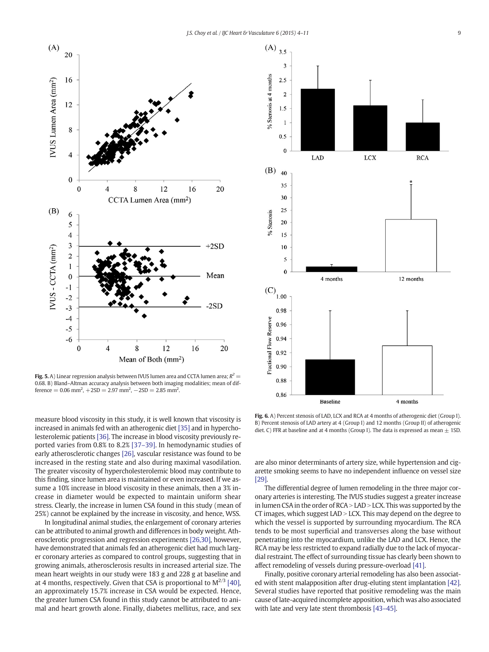

**Fig. 5.** A) Linear regression analysis between IVUS lumen area and CCTA lumen area;  $R^2 =$ 0.68. B) Bland–Altman accuracy analysis between both imaging modalities; mean of difference =  $0.06$  mm<sup>2</sup>,  $+2SD = 2.97$  mm<sup>2</sup>,  $-2SD = 2.85$  mm<sup>2</sup>.

measure blood viscosity in this study, it is well known that viscosity is increased in animals fed with an atherogenic diet [35] and in hypercholesterolemic patients [36]. The increase in blood viscosity previously reported varies from 0.8% to 8.2% [37–39]. In hemodynamic studies of early atherosclerotic changes [26], vascular resistance was found to be increased in the resting state and also during maximal vasodilation. The greater viscosity of hypercholesterolemic blood may contribute to this finding, since lumen area is maintained or even increased. If we assume a 10% increase in blood viscosity in these animals, then a 3% increase in diameter would be expected to maintain uniform shear stress. Clearly, the increase in lumen CSA found in this study (mean of 25%) cannot be explained by the increase in viscosity, and hence, WSS.

In longitudinal animal studies, the enlargement of coronary arteries can be attributed to animal growth and differences in body weight. Atherosclerotic progression and regression experiments [26,30], however, have demonstrated that animals fed an atherogenic diet had much larger coronary arteries as compared to control groups, suggesting that in growing animals, atherosclerosis results in increased arterial size. The mean heart weights in our study were 183 g and 228 g at baseline and at 4 months, respectively. Given that CSA is proportional to  $M^{2/3}$  [40], an approximately 15.7% increase in CSA would be expected. Hence, the greater lumen CSA found in this study cannot be attributed to animal and heart growth alone. Finally, diabetes mellitus, race, and sex



Fig. 6. A) Percent stenosis of LAD, LCX and RCA at 4 months of atherogenic diet (Group I). B) Percent stenosis of LAD artery at 4 (Group I) and 12 months (Group II) of atherogenic diet. C) FFR at baseline and at 4 months (Group I). The data is expressed as mean  $\pm$  1SD.

are also minor determinants of artery size, while hypertension and cigarette smoking seems to have no independent influence on vessel size [29].

The differential degree of lumen remodeling in the three major coronary arteries is interesting. The IVUS studies suggest a greater increase in lumen CSA in the order of  $RCA > LAD > LCX$ . This was supported by the CT images, which suggest LAD > LCX. This may depend on the degree to which the vessel is supported by surrounding myocardium. The RCA tends to be most superficial and transverses along the base without penetrating into the myocardium, unlike the LAD and LCX. Hence, the RCA may be less restricted to expand radially due to the lack of myocardial restraint. The effect of surrounding tissue has clearly been shown to affect remodeling of vessels during pressure-overload [41].

Finally, positive coronary arterial remodeling has also been associated with stent malapposition after drug-eluting stent implantation [42]. Several studies have reported that positive remodeling was the main cause of late-acquired incomplete apposition, which was also associated with late and very late stent thrombosis [43–45].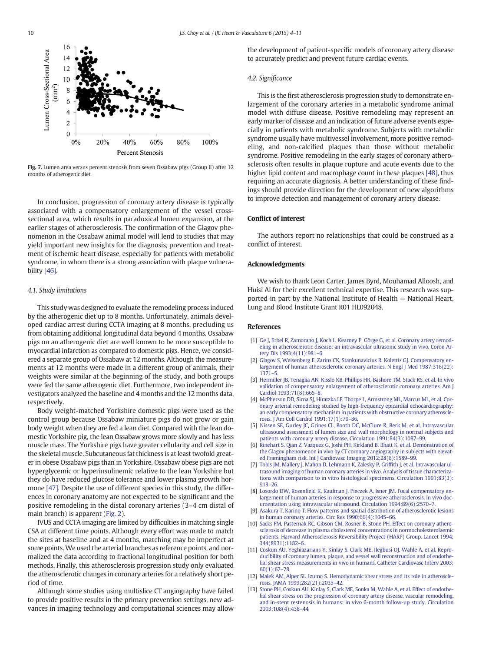

Fig. 7. Lumen area versus percent stenosis from seven Ossabaw pigs (Group II) after 12 months of atherogenic diet.

In conclusion, progression of coronary artery disease is typically associated with a compensatory enlargement of the vessel crosssectional area, which results in paradoxical lumen expansion, at the earlier stages of atherosclerosis. The confirmation of the Glagov phenomenon in the Ossabaw animal model will lend to studies that may yield important new insights for the diagnosis, prevention and treatment of ischemic heart disease, especially for patients with metabolic syndrome, in whom there is a strong association with plaque vulnerability [46].

#### 4.1. Study limitations

This study was designed to evaluate the remodeling process induced by the atherogenic diet up to 8 months. Unfortunately, animals developed cardiac arrest during CCTA imaging at 8 months, precluding us from obtaining additional longitudinal data beyond 4 months. Ossabaw pigs on an atherogenic diet are well known to be more susceptible to myocardial infarction as compared to domestic pigs. Hence, we considered a separate group of Ossabaw at 12 months. Although the measurements at 12 months were made in a different group of animals, their weights were similar at the beginning of the study, and both groups were fed the same atherogenic diet. Furthermore, two independent investigators analyzed the baseline and 4 months and the 12 months data, respectively.

Body weight-matched Yorkshire domestic pigs were used as the control group because Ossabaw miniature pigs do not grow or gain body weight when they are fed a lean diet. Compared with the lean domestic Yorkshire pig, the lean Ossabaw grows more slowly and has less muscle mass. The Yorkshire pigs have greater cellularity and cell size in the skeletal muscle. Subcutaneous fat thickness is at least twofold greater in obese Ossabaw pigs than in Yorkshire. Ossabaw obese pigs are not hyperglycemic or hyperinsulinemic relative to the lean Yorkshire but they do have reduced glucose tolerance and lower plasma growth hormone [47]. Despite the use of different species in this study, the differences in coronary anatomy are not expected to be significant and the positive remodeling in the distal coronary arteries (3–4 cm distal of main branch) is apparent (Fig. 2).

IVUS and CCTA imaging are limited by difficulties in matching single CSA at different time points. Although every effort was made to match the sites at baseline and at 4 months, matching may be imperfect at some points.We used the arterial branches as reference points, and normalized the data according to fractional longitudinal position for both methods. Finally, this atherosclerosis progression study only evaluated the atherosclerotic changes in coronary arteries for a relatively short period of time.

Although some studies using multislice CT angiography have failed to provide positive results in the primary prevention settings, new advances in imaging technology and computational sciences may allow the development of patient-specific models of coronary artery disease to accurately predict and prevent future cardiac events.

#### 4.2. Significance

This is the first atherosclerosis progression study to demonstrate enlargement of the coronary arteries in a metabolic syndrome animal model with diffuse disease. Positive remodeling may represent an early marker of disease and an indication of future adverse events especially in patients with metabolic syndrome. Subjects with metabolic syndrome usually have multivessel involvement, more positive remodeling, and non-calcified plaques than those without metabolic syndrome. Positive remodeling in the early stages of coronary atherosclerosis often results in plaque rupture and acute events due to the higher lipid content and macrophage count in these plaques [48], thus requiring an accurate diagnosis. A better understanding of these findings should provide direction for the development of new algorithms to improve detection and management of coronary artery disease.

#### Conflict of interest

The authors report no relationships that could be construed as a conflict of interest.

#### Acknowledgments

We wish to thank Leon Carter, James Byrd, Mouhamad Alloosh, and Huisi Ai for their excellent technical expertise. This research was supported in part by the National Institute of Health — National Heart, Lung and Blood Institute Grant R01 HL092048.

#### References

- [1] Ge J, Erbel R, Zamorano J, Koch L, Kearney P, Görge G, et al. Coronary artery remodeling in atherosclerotic disease: an intravascular ultrasonic study in vivo. Coron Artery Dis 1993;4(11):981–6.
- [2] Glagov S, Weisenberg E, Zarins CK, Stankunavicius R, Kolettis GJ. Compensatory enlargement of human atherosclerotic coronary arteries. N Engl J Med 1987;316(22): 1371–5.
- [3] Hermiller JB, Tenaglia AN, Kisslo KB, Phillips HR, Bashore TM, Stack RS, et al. In vivo validation of compensatory enlargement of atherosclerotic coronary arteries. Am J Cardiol 1993;71(8):665-8.
- McPherson DD, Sirna SJ, Hiratzka LF, Thorpe L, Armstrong ML, Marcus ML, et al. Coronary arterial remodeling studied by high-frequency epicardial echocardiography: an early compensatory mechanism in patients with obstructive coronary atherosclerosis. J Am Coll Cardiol 1991;17(1):79–86.
- [5] Nissen SE, Gurley JC, Grines CL, Booth DC, McClure R, Berk M, et al. Intravascular ultrasound assessment of lumen size and wall morphology in normal subjects and patients with coronary artery disease. Circulation 1991;84(3):1087–99.
- [6] Rinehart S, Qian Z, Vazquez G, Joshi PH, Kirkland B, Bhatt K, et al. Demonstration of the Glagov phenomenon in vivo by CT coronary angiography in subjects with elevated Framingham risk. Int J Cardiovasc Imaging 2012;28(6):1589–99.
- [7] Tobis JM, Mallery J, Mahon D, Lehmann K, Zalesky P, Griffith J, et al. Intravascular ultrasound imaging of human coronary arteries in vivo. Analysis of tissue characterizations with comparison to in vitro histological specimens. Circulation 1991;83(3): 913–26.
- [8] Losordo DW, Rosenfield K, Kaufman J, Pieczek A, Isner JM. Focal compensatory enlargement of human arteries in response to progressive atherosclerosis. In vivo documentation using intravascular ultrasound. Circulation 1994;89(6):2570–7.
- [9] Asakura T, Karino T. Flow patterns and spatial distribution of atherosclerotic lesions in human coronary arteries. Circ Res 1990;66(4):1045–66.
- [10] Sacks FM, Pasternak RC, Gibson CM, Rosner B, Stone PH. Effect on coronary atherosclerosis of decrease in plasma cholesterol concentrations in normocholesterolaemic patients. Harvard Atherosclerosis Reversibility Project (HARP) Group. Lancet 1994; 344(8931):1182–6.
- [11] Coskun AU, Yeghiazarians Y, Kinlay S, Clark ME, Ilegbusi OJ, Wahle A, et al. Reproducibility of coronary lumen, plaque, and vessel wall reconstruction and of endothelial shear stress measurements in vivo in humans. Catheter Cardiovasc Interv 2003; 60(1):67–78.
- [12] Malek AM, Alper SL, Izumo S. Hemodynamic shear stress and its role in atherosclerosis. JAMA 1999;282(21):2035–42.
- [13] Stone PH, Coskun AU, Kinlay S, Clark ME, Sonka M, Wahle A, et al. Effect of endothelial shear stress on the progression of coronary artery disease, vascular remodeling, and in-stent restenosis in humans: in vivo 6-month follow-up study. Circulation 2003;108(4):438–44.